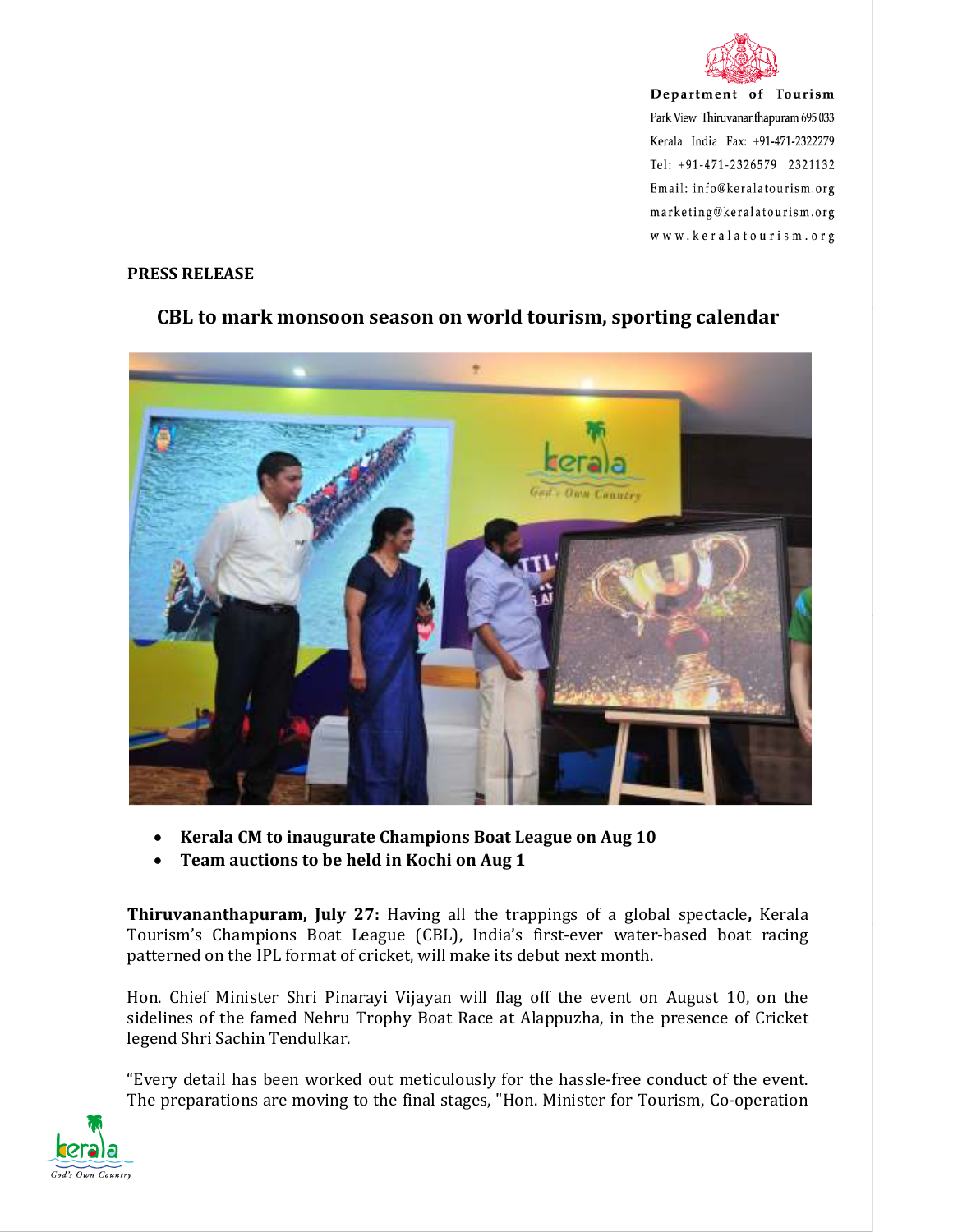

## **PRESS RELEASE**



## **CBL to mark monsoon season on world tourism, sporting calendar**

- **Kerala CM to inaugurate Champions Boat League on Aug 10**
- **Team auctions to be held in Kochi on Aug 1**

**Thiruvananthapuram, July 27:** Having all the trappings of a global spectacle**,** Kerala Tourism's Champions Boat League (CBL), India's first-ever water-based boat racing patterned on the IPL format of cricket, will make its debut next month.

Hon. Chief Minister Shri Pinarayi Vijayan will flag off the event on August 10, on the sidelines of the famed Nehru Trophy Boat Race at Alappuzha, in the presence of Cricket legend Shri Sachin Tendulkar.

"Every detail has been worked out meticulously for the hassle-free conduct of the event. The preparations are moving to the final stages, "Hon. Minister for Tourism, Co-operation

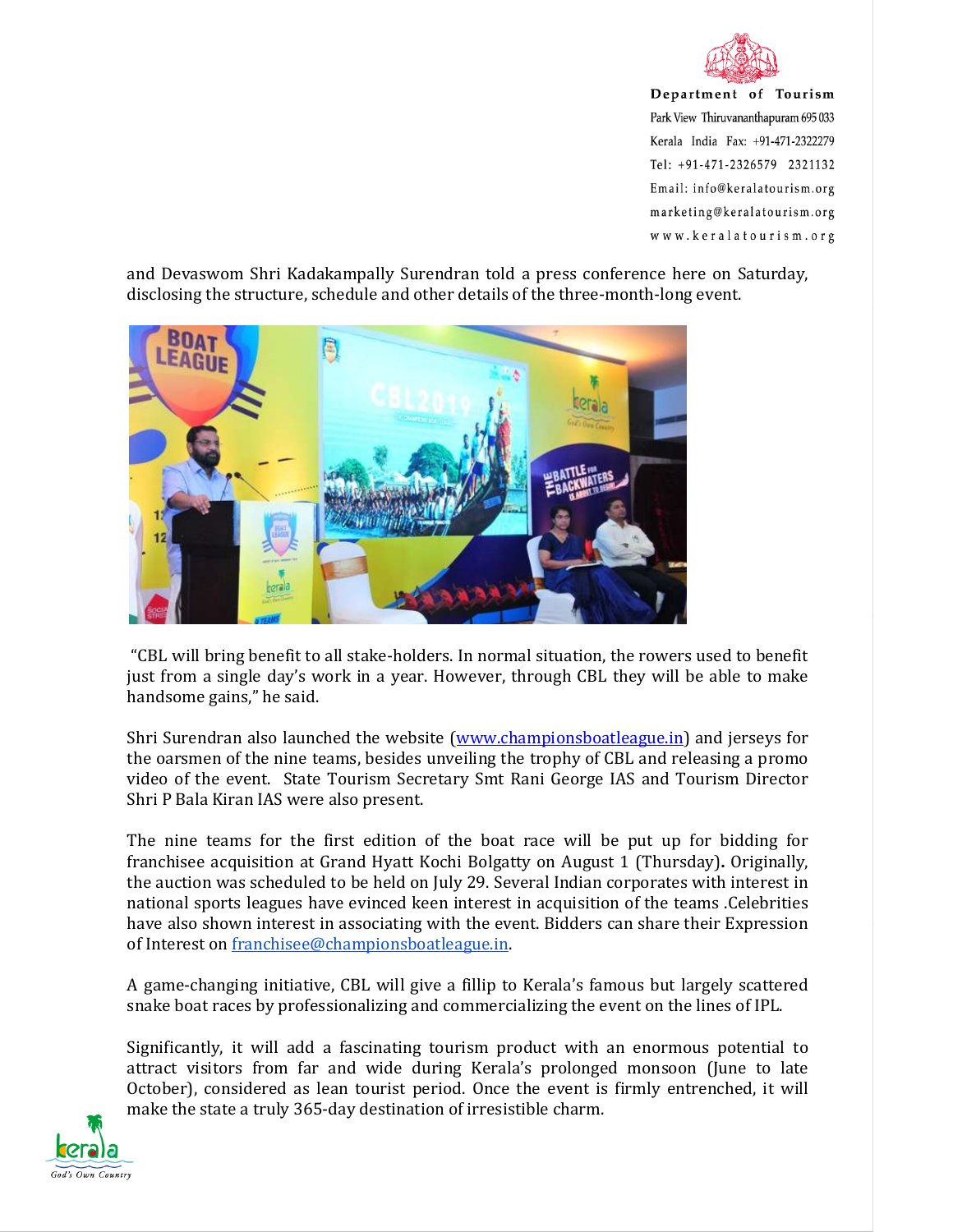

and Devaswom Shri Kadakampally Surendran told a press conference here on Saturday, disclosing the structure, schedule and other details of the three-month-long event.



 "CBL will bring benefit to all stake-holders. In normal situation, the rowers used to benefit just from a single day's work in a year. However, through CBL they will be able to make handsome gains," he said.

Shri Surendran also launched the website (www.championsboatleague.in) and jerseys for the oarsmen of the nine teams, besides unveiling the trophy of CBL and releasing a promo video of the event. State Tourism Secretary Smt Rani George IAS and Tourism Director Shri P Bala Kiran IAS were also present.

The nine teams for the first edition of the boat race will be put up for bidding for franchisee acquisition at Grand Hyatt Kochi Bolgatty on August 1 (Thursday)**.** Originally, the auction was scheduled to be held on July 29. Several Indian corporates with interest in national sports leagues have evinced keen interest in acquisition of the teams .Celebrities have also shown interest in associating with the event. Bidders can share their Expression of Interest on franchisee@championsboatleague.in.

A game-changing initiative, CBL will give a fillip to Kerala's famous but largely scattered snake boat races by professionalizing and commercializing the event on the lines of IPL.

Significantly, it will add a fascinating tourism product with an enormous potential to attract visitors from far and wide during Kerala's prolonged monsoon (June to late October), considered as lean tourist period. Once the event is firmly entrenched, it will make the state a truly 365-day destination of irresistible charm.

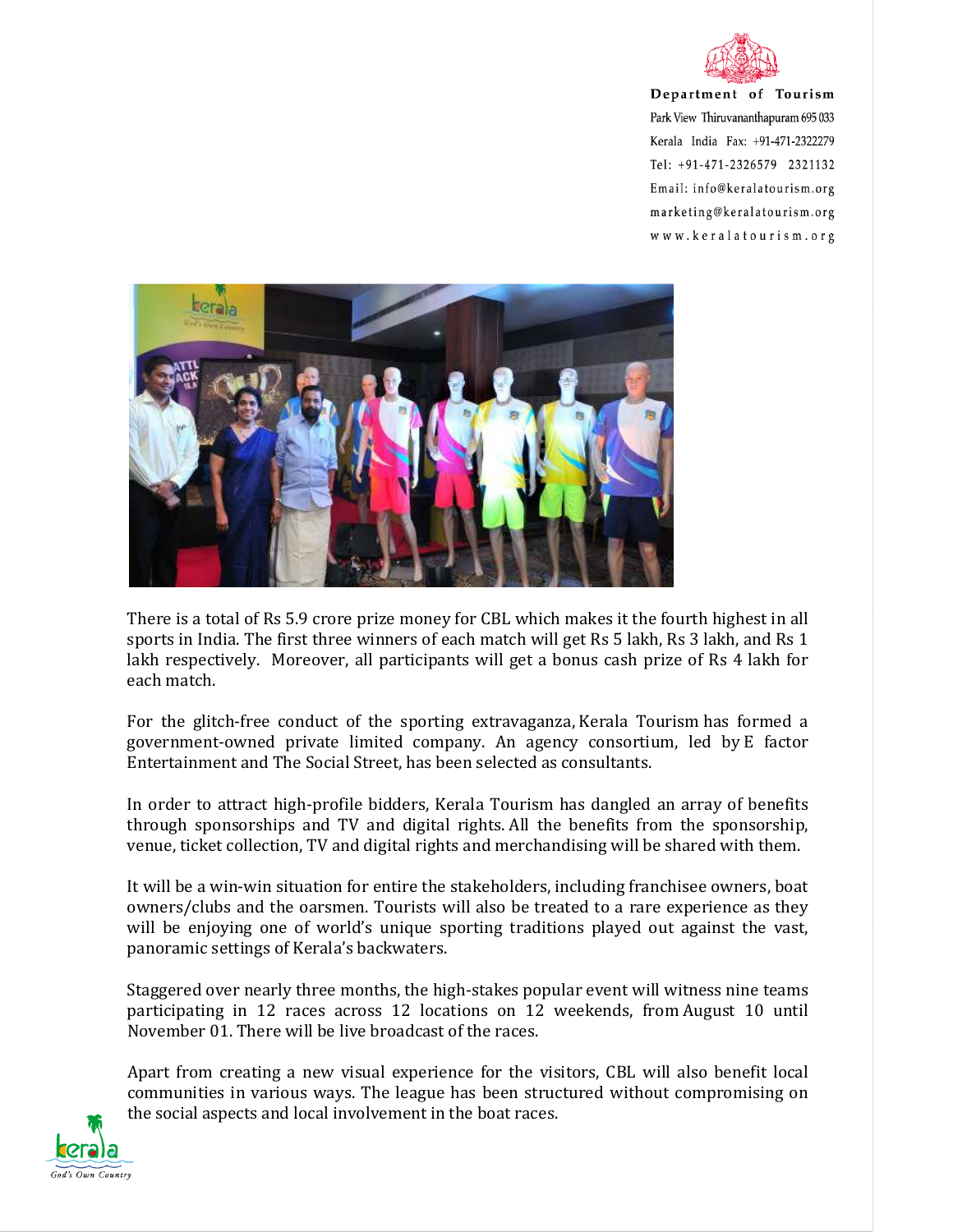



There is a total of Rs 5.9 crore prize money for CBL which makes it the fourth highest in all sports in India. The first three winners of each match will get Rs 5 lakh, Rs 3 lakh, and Rs 1 lakh respectively. Moreover, all participants will get a bonus cash prize of Rs 4 lakh for each match.

For the glitch-free conduct of the sporting extravaganza, Kerala Tourism has formed a government-owned private limited company. An agency consortium, led by E factor Entertainment and The Social Street, has been selected as consultants.

In order to attract high-profile bidders, Kerala Tourism has dangled an array of benefits through sponsorships and TV and digital rights. All the benefits from the sponsorship, venue, ticket collection, TV and digital rights and merchandising will be shared with them.

It will be a win-win situation for entire the stakeholders, including franchisee owners, boat owners/clubs and the oarsmen. Tourists will also be treated to a rare experience as they will be enjoying one of world's unique sporting traditions played out against the vast, panoramic settings of Kerala's backwaters.

Staggered over nearly three months, the high-stakes popular event will witness nine teams participating in 12 races across 12 locations on 12 weekends, from August 10 until November 01. There will be live broadcast of the races.

Apart from creating a new visual experience for the visitors, CBL will also benefit local communities in various ways. The league has been structured without compromising on the social aspects and local involvement in the boat races.